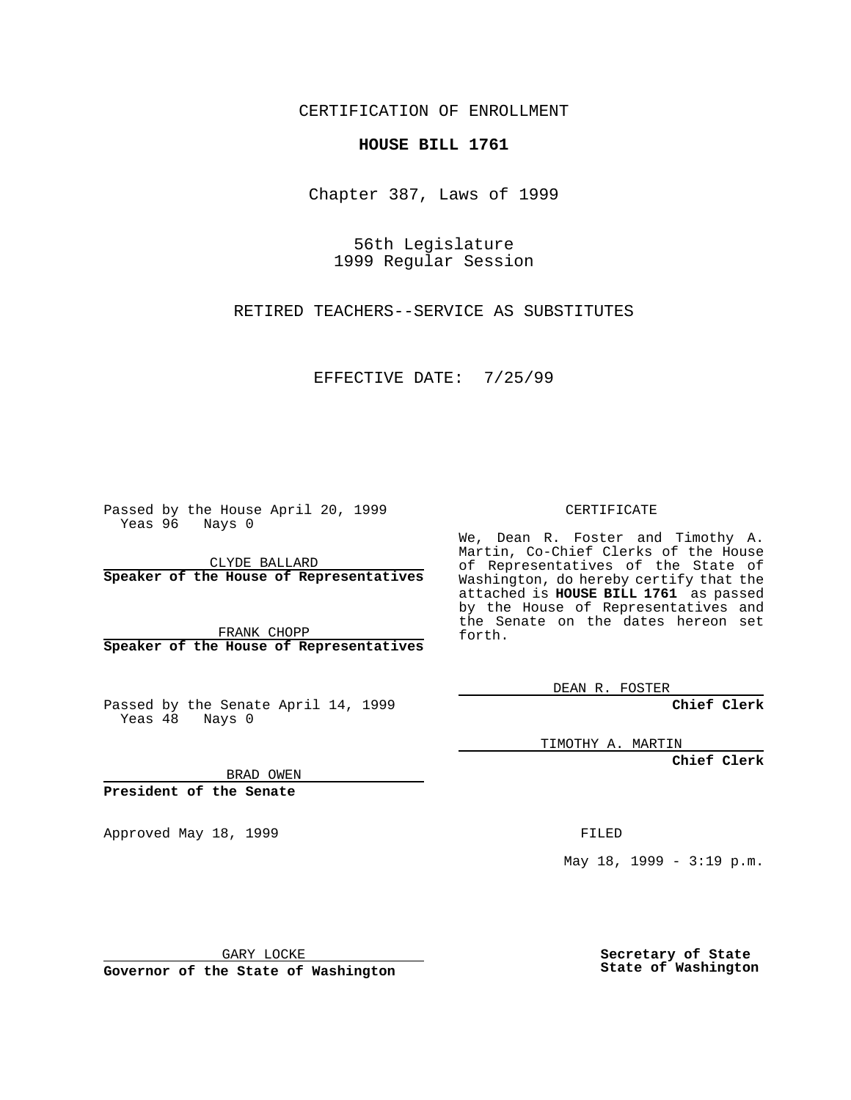CERTIFICATION OF ENROLLMENT

## **HOUSE BILL 1761**

Chapter 387, Laws of 1999

56th Legislature 1999 Regular Session

RETIRED TEACHERS--SERVICE AS SUBSTITUTES

EFFECTIVE DATE: 7/25/99

Passed by the House April 20, 1999 Yeas 96 Nays 0

CLYDE BALLARD **Speaker of the House of Representatives**

FRANK CHOPP **Speaker of the House of Representatives**

Passed by the Senate April 14, 1999 Yeas 48 Nays 0

CERTIFICATE

We, Dean R. Foster and Timothy A. Martin, Co-Chief Clerks of the House of Representatives of the State of Washington, do hereby certify that the attached is **HOUSE BILL 1761** as passed by the House of Representatives and the Senate on the dates hereon set forth.

DEAN R. FOSTER

**Chief Clerk**

TIMOTHY A. MARTIN

**Chief Clerk**

BRAD OWEN

**President of the Senate**

Approved May 18, 1999 **FILED** 

May 18, 1999 - 3:19 p.m.

GARY LOCKE

**Governor of the State of Washington**

**Secretary of State State of Washington**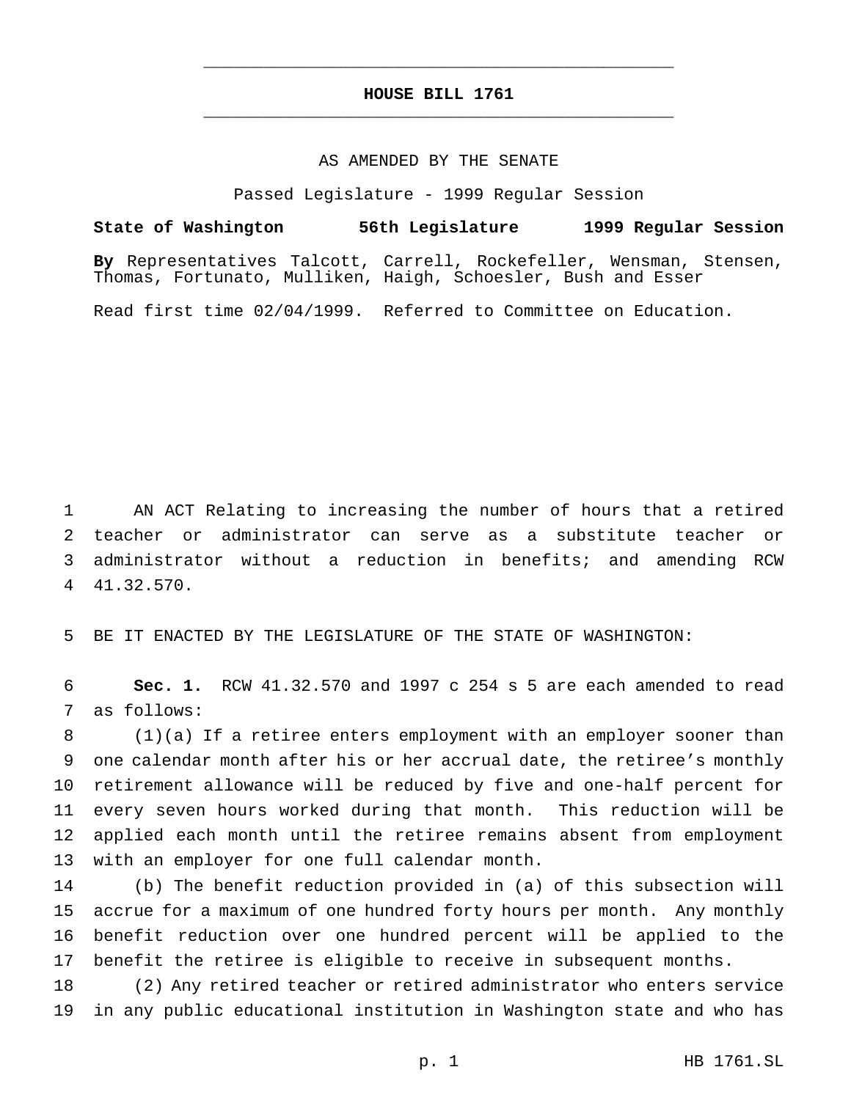## **HOUSE BILL 1761** \_\_\_\_\_\_\_\_\_\_\_\_\_\_\_\_\_\_\_\_\_\_\_\_\_\_\_\_\_\_\_\_\_\_\_\_\_\_\_\_\_\_\_\_\_\_\_

\_\_\_\_\_\_\_\_\_\_\_\_\_\_\_\_\_\_\_\_\_\_\_\_\_\_\_\_\_\_\_\_\_\_\_\_\_\_\_\_\_\_\_\_\_\_\_

## AS AMENDED BY THE SENATE

Passed Legislature - 1999 Regular Session

**State of Washington 56th Legislature 1999 Regular Session By** Representatives Talcott, Carrell, Rockefeller, Wensman, Stensen, Thomas, Fortunato, Mulliken, Haigh, Schoesler, Bush and Esser

Read first time 02/04/1999. Referred to Committee on Education.

 AN ACT Relating to increasing the number of hours that a retired teacher or administrator can serve as a substitute teacher or administrator without a reduction in benefits; and amending RCW 41.32.570.

BE IT ENACTED BY THE LEGISLATURE OF THE STATE OF WASHINGTON:

 **Sec. 1.** RCW 41.32.570 and 1997 c 254 s 5 are each amended to read as follows:

 (1)(a) If a retiree enters employment with an employer sooner than one calendar month after his or her accrual date, the retiree's monthly retirement allowance will be reduced by five and one-half percent for every seven hours worked during that month. This reduction will be applied each month until the retiree remains absent from employment with an employer for one full calendar month.

 (b) The benefit reduction provided in (a) of this subsection will accrue for a maximum of one hundred forty hours per month. Any monthly benefit reduction over one hundred percent will be applied to the benefit the retiree is eligible to receive in subsequent months.

 (2) Any retired teacher or retired administrator who enters service in any public educational institution in Washington state and who has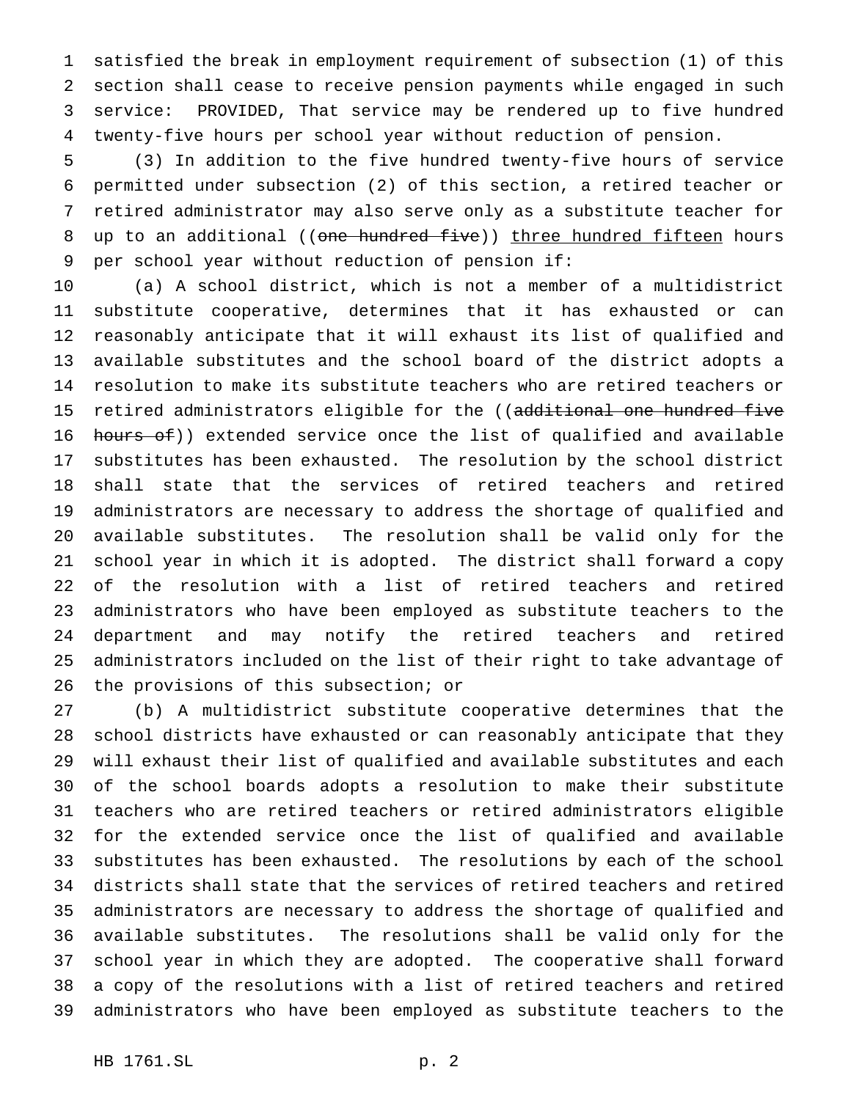satisfied the break in employment requirement of subsection (1) of this section shall cease to receive pension payments while engaged in such service: PROVIDED, That service may be rendered up to five hundred twenty-five hours per school year without reduction of pension.

 (3) In addition to the five hundred twenty-five hours of service permitted under subsection (2) of this section, a retired teacher or retired administrator may also serve only as a substitute teacher for 8 up to an additional ((one hundred five)) three hundred fifteen hours per school year without reduction of pension if:

 (a) A school district, which is not a member of a multidistrict substitute cooperative, determines that it has exhausted or can reasonably anticipate that it will exhaust its list of qualified and available substitutes and the school board of the district adopts a resolution to make its substitute teachers who are retired teachers or 15 retired administrators eligible for the ((additional one hundred five 16 hours of)) extended service once the list of qualified and available substitutes has been exhausted. The resolution by the school district shall state that the services of retired teachers and retired administrators are necessary to address the shortage of qualified and available substitutes. The resolution shall be valid only for the school year in which it is adopted. The district shall forward a copy of the resolution with a list of retired teachers and retired administrators who have been employed as substitute teachers to the department and may notify the retired teachers and retired administrators included on the list of their right to take advantage of the provisions of this subsection; or

 (b) A multidistrict substitute cooperative determines that the school districts have exhausted or can reasonably anticipate that they will exhaust their list of qualified and available substitutes and each of the school boards adopts a resolution to make their substitute teachers who are retired teachers or retired administrators eligible for the extended service once the list of qualified and available substitutes has been exhausted. The resolutions by each of the school districts shall state that the services of retired teachers and retired administrators are necessary to address the shortage of qualified and available substitutes. The resolutions shall be valid only for the school year in which they are adopted. The cooperative shall forward a copy of the resolutions with a list of retired teachers and retired administrators who have been employed as substitute teachers to the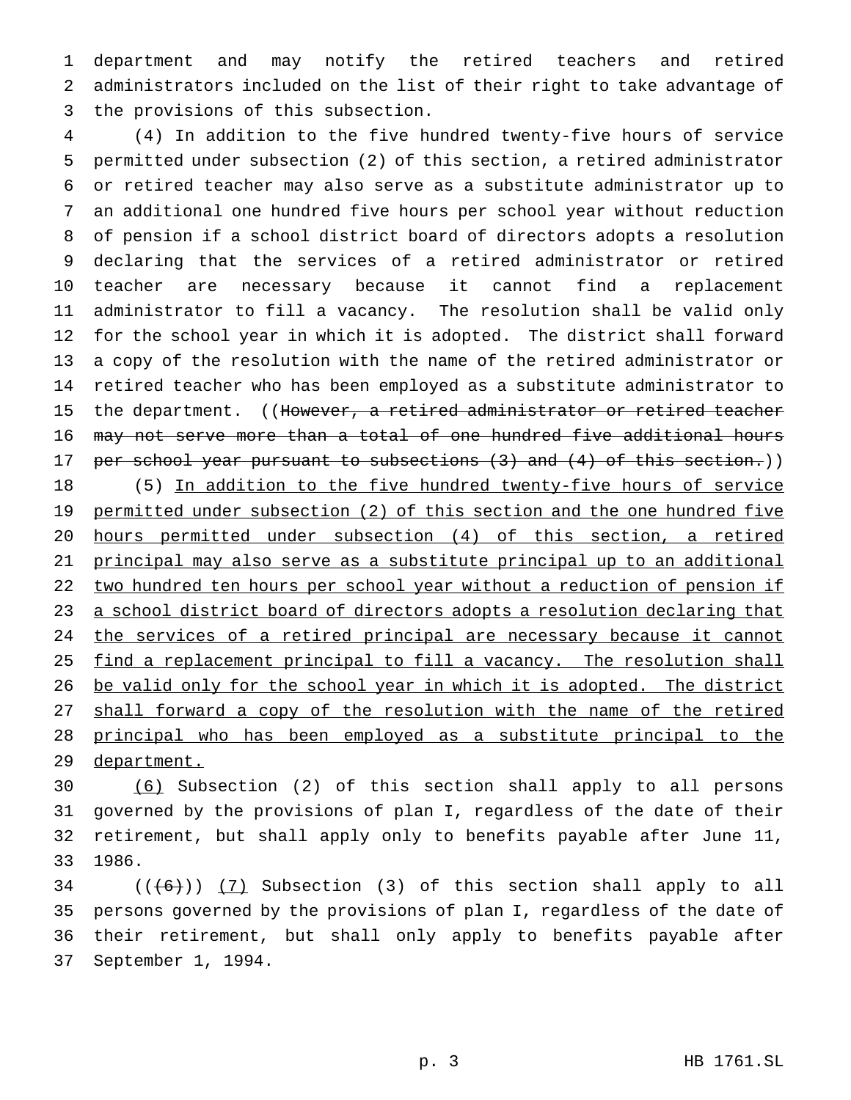department and may notify the retired teachers and retired administrators included on the list of their right to take advantage of the provisions of this subsection.

 (4) In addition to the five hundred twenty-five hours of service permitted under subsection (2) of this section, a retired administrator or retired teacher may also serve as a substitute administrator up to an additional one hundred five hours per school year without reduction of pension if a school district board of directors adopts a resolution declaring that the services of a retired administrator or retired teacher are necessary because it cannot find a replacement administrator to fill a vacancy. The resolution shall be valid only for the school year in which it is adopted. The district shall forward a copy of the resolution with the name of the retired administrator or retired teacher who has been employed as a substitute administrator to 15 the department. ((However, a retired administrator or retired teacher may not serve more than a total of one hundred five additional hours 17 per school year pursuant to subsections (3) and (4) of this section.)) 18 (5) In addition to the five hundred twenty-five hours of service permitted under subsection (2) of this section and the one hundred five hours permitted under subsection (4) of this section, a retired principal may also serve as a substitute principal up to an additional two hundred ten hours per school year without a reduction of pension if 23 a school district board of directors adopts a resolution declaring that 24 the services of a retired principal are necessary because it cannot 25 find a replacement principal to fill a vacancy. The resolution shall 26 be valid only for the school year in which it is adopted. The district 27 shall forward a copy of the resolution with the name of the retired principal who has been employed as a substitute principal to the

29 department.

 (6) Subsection (2) of this section shall apply to all persons governed by the provisions of plan I, regardless of the date of their retirement, but shall apply only to benefits payable after June 11, 1986.

 (( $(6)$ ))  $(7)$  Subsection (3) of this section shall apply to all persons governed by the provisions of plan I, regardless of the date of their retirement, but shall only apply to benefits payable after September 1, 1994.